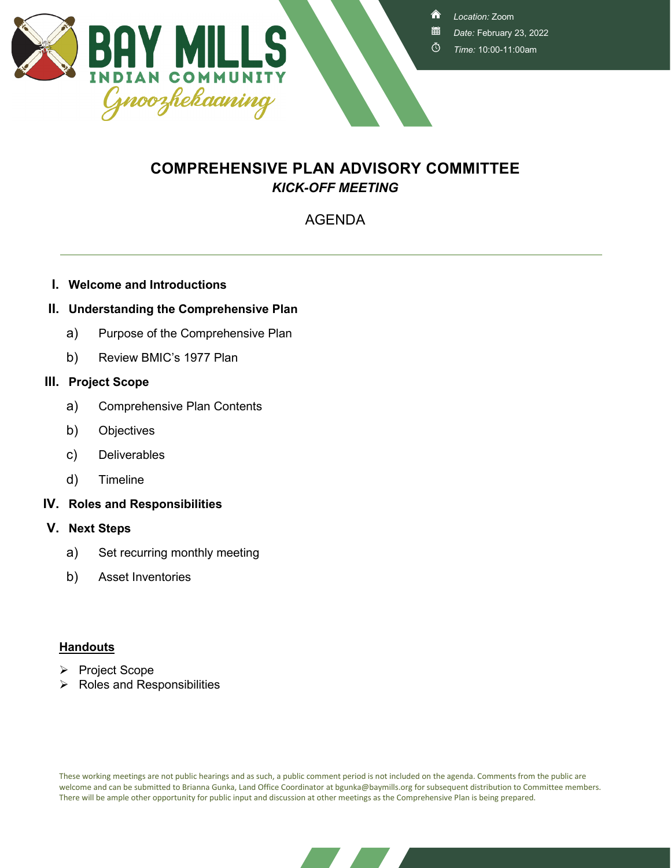

<mark>⋒</mark>

- *Date:* February 23, 2022
- Ō *Time:* 10:00-11:00am

## **COMPREHENSIVE PLAN ADVISORY COMMITTEE** *KICK-OFF MEETING*

## AGENDA

**I. Welcome and Introductions**

## **II. Understanding the Comprehensive Plan**

- a) Purpose of the Comprehensive Plan
- b) Review BMIC's 1977 Plan

### **III. Project Scope**

- a) Comprehensive Plan Contents
- b) Objectives
- c) Deliverables
- d) Timeline
- **IV. Roles and Responsibilities**
- **V. Next Steps**
	- a) Set recurring monthly meeting
	- b) Asset Inventories

## **Handouts**

- Project Scope
- $\triangleright$  Roles and Responsibilities

These working meetings are not public hearings and as such, a public comment period is not included on the agenda. Comments from the public are welcome and can be submitted to Brianna Gunka, Land Office Coordinator at bgunka@baymills.org for subsequent distribution to Committee members. There will be ample other opportunity for public input and discussion at other meetings as the Comprehensive Plan is being prepared.